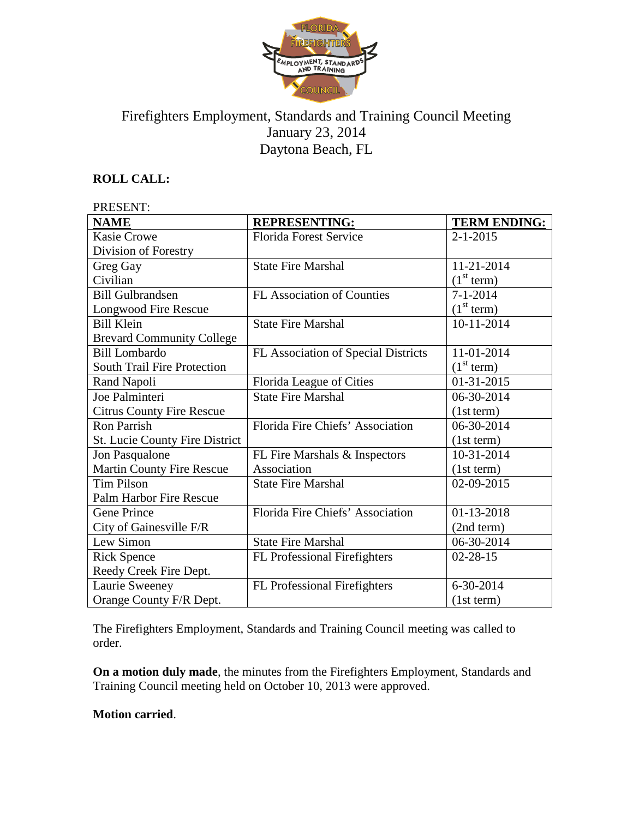

# Firefighters Employment, Standards and Training Council Meeting January 23, 2014 Daytona Beach, FL

# **ROLL CALL:**

| PRESENT:                           |                                     |                        |
|------------------------------------|-------------------------------------|------------------------|
| <b>NAME</b>                        | <b>REPRESENTING:</b>                | <b>TERM ENDING:</b>    |
| <b>Kasie Crowe</b>                 | <b>Florida Forest Service</b>       | $2 - 1 - 2015$         |
| Division of Forestry               |                                     |                        |
| Greg Gay                           | <b>State Fire Marshal</b>           | 11-21-2014             |
| Civilian                           |                                     | (1 <sup>st</sup> term) |
| <b>Bill Gulbrandsen</b>            | <b>FL Association of Counties</b>   | $7 - 1 - 2014$         |
| <b>Longwood Fire Rescue</b>        |                                     | (1 <sup>st</sup> term) |
| <b>Bill Klein</b>                  | <b>State Fire Marshal</b>           | $10 - 11 - 2014$       |
| <b>Brevard Community College</b>   |                                     |                        |
| <b>Bill Lombardo</b>               | FL Association of Special Districts | 11-01-2014             |
| <b>South Trail Fire Protection</b> |                                     | (1 <sup>st</sup> term) |
| Rand Napoli                        | Florida League of Cities            | 01-31-2015             |
| Joe Palminteri                     | <b>State Fire Marshal</b>           | 06-30-2014             |
| <b>Citrus County Fire Rescue</b>   |                                     | (1st term)             |
| <b>Ron Parrish</b>                 | Florida Fire Chiefs' Association    | 06-30-2014             |
| St. Lucie County Fire District     |                                     | (1st term)             |
| Jon Pasqualone                     | FL Fire Marshals & Inspectors       | 10-31-2014             |
| Martin County Fire Rescue          | Association                         | (1st term)             |
| <b>Tim Pilson</b>                  | <b>State Fire Marshal</b>           | 02-09-2015             |
| Palm Harbor Fire Rescue            |                                     |                        |
| <b>Gene Prince</b>                 | Florida Fire Chiefs' Association    | 01-13-2018             |
| City of Gainesville F/R            |                                     | (2nd term)             |
| Lew Simon                          | <b>State Fire Marshal</b>           | 06-30-2014             |
| <b>Rick Spence</b>                 | <b>FL Professional Firefighters</b> | $02 - 28 - 15$         |
| Reedy Creek Fire Dept.             |                                     |                        |
| Laurie Sweeney                     | FL Professional Firefighters        | 6-30-2014              |
| Orange County F/R Dept.            |                                     | (1st term)             |

The Firefighters Employment, Standards and Training Council meeting was called to order.

**On a motion duly made**, the minutes from the Firefighters Employment, Standards and Training Council meeting held on October 10, 2013 were approved.

### **Motion carried**.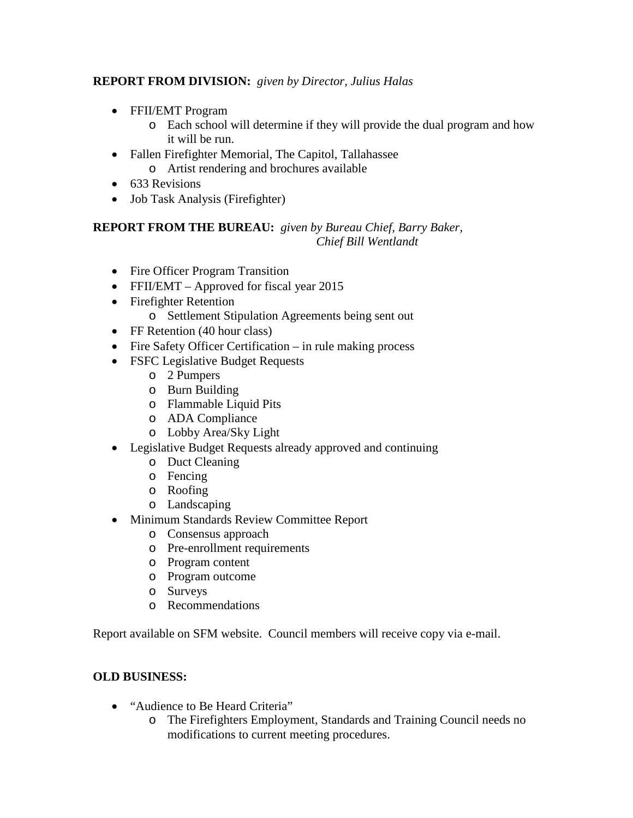## **REPORT FROM DIVISION:** *given by Director, Julius Halas*

- FFII/EMT Program
	- o Each school will determine if they will provide the dual program and how it will be run.
- Fallen Firefighter Memorial, The Capitol, Tallahassee
	- o Artist rendering and brochures available
- 633 Revisions
- Job Task Analysis (Firefighter)

# **REPORT FROM THE BUREAU:** *given by Bureau Chief, Barry Baker, Chief Bill Wentlandt*

- Fire Officer Program Transition
- FFII/EMT Approved for fiscal year 2015
- Firefighter Retention
	- o Settlement Stipulation Agreements being sent out
- FF Retention (40 hour class)
- Fire Safety Officer Certification in rule making process
- FSFC Legislative Budget Requests
	- o 2 Pumpers
	- o Burn Building
	- o Flammable Liquid Pits
	- o ADA Compliance
	- o Lobby Area/Sky Light
- Legislative Budget Requests already approved and continuing
	- o Duct Cleaning
	- o Fencing
	- o Roofing
	- o Landscaping
- Minimum Standards Review Committee Report
	- o Consensus approach
	- o Pre-enrollment requirements
	- o Program content
	- o Program outcome
	- o Surveys
	- o Recommendations

Report available on SFM website. Council members will receive copy via e-mail.

# **OLD BUSINESS:**

- "Audience to Be Heard Criteria"
	- o The Firefighters Employment, Standards and Training Council needs no modifications to current meeting procedures.